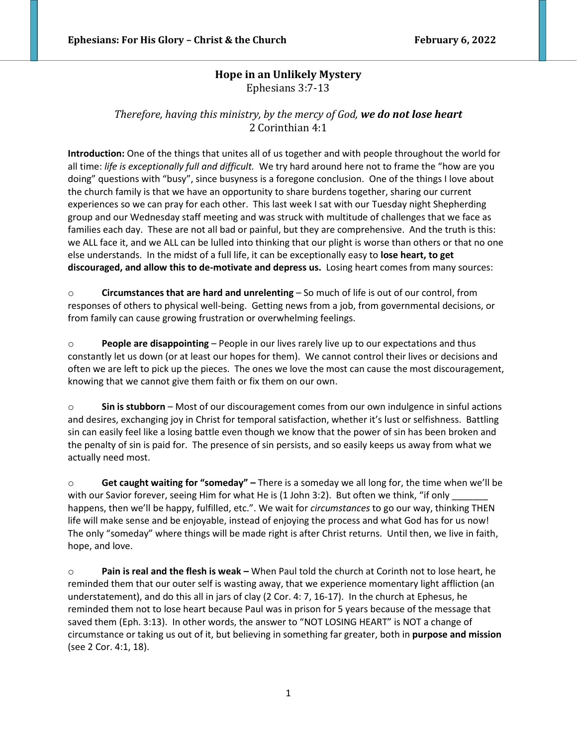# **Hope in an Unlikely Mystery** Ephesians 3:7-13

## *Therefore, having this ministry, by the mercy of God, we do not lose heart* 2 Corinthian 4:1

**Introduction:** One of the things that unites all of us together and with people throughout the world for all time: *life is exceptionally full and difficult.* We try hard around here not to frame the "how are you doing" questions with "busy", since busyness is a foregone conclusion. One of the things I love about the church family is that we have an opportunity to share burdens together, sharing our current experiences so we can pray for each other. This last week I sat with our Tuesday night Shepherding group and our Wednesday staff meeting and was struck with multitude of challenges that we face as families each day. These are not all bad or painful, but they are comprehensive. And the truth is this: we ALL face it, and we ALL can be lulled into thinking that our plight is worse than others or that no one else understands. In the midst of a full life, it can be exceptionally easy to **lose heart, to get discouraged, and allow this to de-motivate and depress us.** Losing heart comes from many sources:

o **Circumstances that are hard and unrelenting** – So much of life is out of our control, from responses of others to physical well-being. Getting news from a job, from governmental decisions, or from family can cause growing frustration or overwhelming feelings.

o **People are disappointing** – People in our lives rarely live up to our expectations and thus constantly let us down (or at least our hopes for them). We cannot control their lives or decisions and often we are left to pick up the pieces. The ones we love the most can cause the most discouragement, knowing that we cannot give them faith or fix them on our own.

o **Sin is stubborn** – Most of our discouragement comes from our own indulgence in sinful actions and desires, exchanging joy in Christ for temporal satisfaction, whether it's lust or selfishness. Battling sin can easily feel like a losing battle even though we know that the power of sin has been broken and the penalty of sin is paid for. The presence of sin persists, and so easily keeps us away from what we actually need most.

o **Get caught waiting for "someday" –** There is a someday we all long for, the time when we'll be with our Savior forever, seeing Him for what He is (1 John 3:2). But often we think, "if only happens, then we'll be happy, fulfilled, etc.". We wait for *circumstances* to go our way, thinking THEN life will make sense and be enjoyable, instead of enjoying the process and what God has for us now! The only "someday" where things will be made right is after Christ returns. Until then, we live in faith, hope, and love.

o **Pain is real and the flesh is weak –** When Paul told the church at Corinth not to lose heart, he reminded them that our outer self is wasting away, that we experience momentary light affliction (an understatement), and do this all in jars of clay (2 Cor. 4: 7, 16-17). In the church at Ephesus, he reminded them not to lose heart because Paul was in prison for 5 years because of the message that saved them (Eph. 3:13). In other words, the answer to "NOT LOSING HEART" is NOT a change of circumstance or taking us out of it, but believing in something far greater, both in **purpose and mission**  (see 2 Cor. 4:1, 18).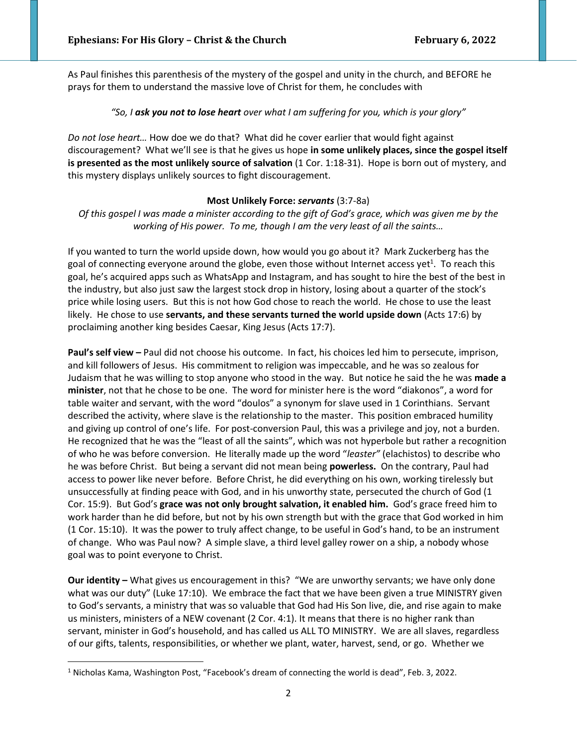As Paul finishes this parenthesis of the mystery of the gospel and unity in the church, and BEFORE he prays for them to understand the massive love of Christ for them, he concludes with

### *"So, I ask you not to lose heart over what I am suffering for you, which is your glory"*

*Do not lose heart…* How doe we do that? What did he cover earlier that would fight against discouragement? What we'll see is that he gives us hope **in some unlikely places, since the gospel itself is presented as the most unlikely source of salvation** (1 Cor. 1:18-31). Hope is born out of mystery, and this mystery displays unlikely sources to fight discouragement.

#### **Most Unlikely Force:** *servants* (3:7-8a)

*Of this gospel I was made a minister according to the gift of God's grace, which was given me by the working of His power. To me, though I am the very least of all the saints…*

If you wanted to turn the world upside down, how would you go about it? Mark Zuckerberg has the goal of connecting everyone around the globe, even those without Internet access yet<sup>1</sup>. To reach this goal, he's acquired apps such as WhatsApp and Instagram, and has sought to hire the best of the best in the industry, but also just saw the largest stock drop in history, losing about a quarter of the stock's price while losing users. But this is not how God chose to reach the world. He chose to use the least likely. He chose to use **servants, and these servants turned the world upside down** (Acts 17:6) by proclaiming another king besides Caesar, King Jesus (Acts 17:7).

**Paul's self view –** Paul did not choose his outcome. In fact, his choices led him to persecute, imprison, and kill followers of Jesus. His commitment to religion was impeccable, and he was so zealous for Judaism that he was willing to stop anyone who stood in the way. But notice he said the he was **made a minister**, not that he chose to be one. The word for minister here is the word "diakonos", a word for table waiter and servant, with the word "doulos" a synonym for slave used in 1 Corinthians. Servant described the activity, where slave is the relationship to the master. This position embraced humility and giving up control of one's life. For post-conversion Paul, this was a privilege and joy, not a burden. He recognized that he was the "least of all the saints", which was not hyperbole but rather a recognition of who he was before conversion. He literally made up the word "*leaster"* (elachistos) to describe who he was before Christ. But being a servant did not mean being **powerless.** On the contrary, Paul had access to power like never before. Before Christ, he did everything on his own, working tirelessly but unsuccessfully at finding peace with God, and in his unworthy state, persecuted the church of God (1 Cor. 15:9). But God's **grace was not only brought salvation, it enabled him.** God's grace freed him to work harder than he did before, but not by his own strength but with the grace that God worked in him (1 Cor. 15:10). It was the power to truly affect change, to be useful in God's hand, to be an instrument of change. Who was Paul now? A simple slave, a third level galley rower on a ship, a nobody whose goal was to point everyone to Christ.

**Our identity –** What gives us encouragement in this? "We are unworthy servants; we have only done what was our duty" (Luke 17:10). We embrace the fact that we have been given a true MINISTRY given to God's servants, a ministry that was so valuable that God had His Son live, die, and rise again to make us ministers, ministers of a NEW covenant (2 Cor. 4:1). It means that there is no higher rank than servant, minister in God's household, and has called us ALL TO MINISTRY. We are all slaves, regardless of our gifts, talents, responsibilities, or whether we plant, water, harvest, send, or go. Whether we

<sup>1</sup> Nicholas Kama, Washington Post, "Facebook's dream of connecting the world is dead", Feb. 3, 2022.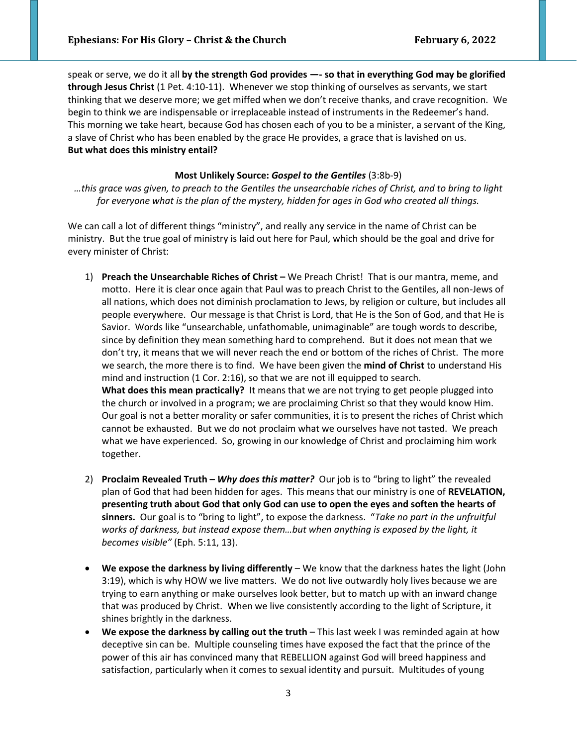speak or serve, we do it all **by the strength God provides —- so that in everything God may be glorified through Jesus Christ** (1 Pet. 4:10-11). Whenever we stop thinking of ourselves as servants, we start thinking that we deserve more; we get miffed when we don't receive thanks, and crave recognition. We begin to think we are indispensable or irreplaceable instead of instruments in the Redeemer's hand. This morning we take heart, because God has chosen each of you to be a minister, a servant of the King, a slave of Christ who has been enabled by the grace He provides, a grace that is lavished on us. **But what does this ministry entail?** 

#### **Most Unlikely Source:** *Gospel to the Gentiles* (3:8b-9)

*…this grace was given, to preach to the Gentiles the unsearchable riches of Christ, and to bring to light for everyone what is the plan of the mystery, hidden for ages in God who created all things.*

We can call a lot of different things "ministry", and really any service in the name of Christ can be ministry. But the true goal of ministry is laid out here for Paul, which should be the goal and drive for every minister of Christ:

- 1) **Preach the Unsearchable Riches of Christ** We Preach Christ! That is our mantra, meme, and motto. Here it is clear once again that Paul was to preach Christ to the Gentiles, all non-Jews of all nations, which does not diminish proclamation to Jews, by religion or culture, but includes all people everywhere. Our message is that Christ is Lord, that He is the Son of God, and that He is Savior. Words like "unsearchable, unfathomable, unimaginable" are tough words to describe, since by definition they mean something hard to comprehend. But it does not mean that we don't try, it means that we will never reach the end or bottom of the riches of Christ. The more we search, the more there is to find. We have been given the **mind of Christ** to understand His mind and instruction (1 Cor. 2:16), so that we are not ill equipped to search. **What does this mean practically?** It means that we are not trying to get people plugged into the church or involved in a program; we are proclaiming Christ so that they would know Him. Our goal is not a better morality or safer communities, it is to present the riches of Christ which cannot be exhausted. But we do not proclaim what we ourselves have not tasted. We preach what we have experienced. So, growing in our knowledge of Christ and proclaiming him work together.
- 2) **Proclaim Revealed Truth –** *Why does this matter?* Our job is to "bring to light" the revealed plan of God that had been hidden for ages. This means that our ministry is one of **REVELATION, presenting truth about God that only God can use to open the eyes and soften the hearts of sinners.** Our goal is to "bring to light", to expose the darkness. "*Take no part in the unfruitful works of darkness, but instead expose them…but when anything is exposed by the light, it becomes visible"* (Eph. 5:11, 13).
- **We expose the darkness by living differently** We know that the darkness hates the light (John 3:19), which is why HOW we live matters. We do not live outwardly holy lives because we are trying to earn anything or make ourselves look better, but to match up with an inward change that was produced by Christ. When we live consistently according to the light of Scripture, it shines brightly in the darkness.
- We expose the darkness by calling out the truth This last week I was reminded again at how deceptive sin can be. Multiple counseling times have exposed the fact that the prince of the power of this air has convinced many that REBELLION against God will breed happiness and satisfaction, particularly when it comes to sexual identity and pursuit. Multitudes of young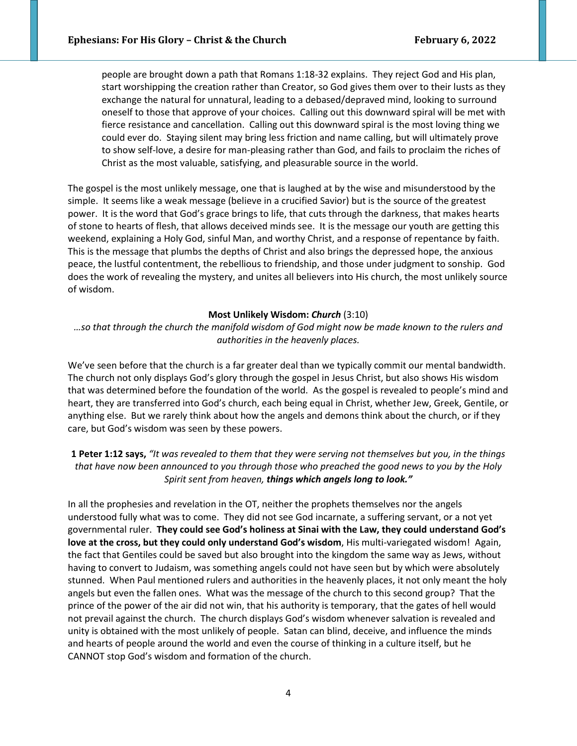people are brought down a path that Romans 1:18-32 explains. They reject God and His plan, start worshipping the creation rather than Creator, so God gives them over to their lusts as they exchange the natural for unnatural, leading to a debased/depraved mind, looking to surround oneself to those that approve of your choices. Calling out this downward spiral will be met with fierce resistance and cancellation. Calling out this downward spiral is the most loving thing we could ever do. Staying silent may bring less friction and name calling, but will ultimately prove to show self-love, a desire for man-pleasing rather than God, and fails to proclaim the riches of Christ as the most valuable, satisfying, and pleasurable source in the world.

The gospel is the most unlikely message, one that is laughed at by the wise and misunderstood by the simple. It seems like a weak message (believe in a crucified Savior) but is the source of the greatest power. It is the word that God's grace brings to life, that cuts through the darkness, that makes hearts of stone to hearts of flesh, that allows deceived minds see. It is the message our youth are getting this weekend, explaining a Holy God, sinful Man, and worthy Christ, and a response of repentance by faith. This is the message that plumbs the depths of Christ and also brings the depressed hope, the anxious peace, the lustful contentment, the rebellious to friendship, and those under judgment to sonship. God does the work of revealing the mystery, and unites all believers into His church, the most unlikely source of wisdom.

#### **Most Unlikely Wisdom:** *Church* (3:10)

*…so that through the church the manifold wisdom of God might now be made known to the rulers and authorities in the heavenly places.*

We've seen before that the church is a far greater deal than we typically commit our mental bandwidth. The church not only displays God's glory through the gospel in Jesus Christ, but also shows His wisdom that was determined before the foundation of the world. As the gospel is revealed to people's mind and heart, they are transferred into God's church, each being equal in Christ, whether Jew, Greek, Gentile, or anything else. But we rarely think about how the angels and demons think about the church, or if they care, but God's wisdom was seen by these powers.

### **1 Peter 1:12 says,** *"It was revealed to them that they were serving not themselves but you, in the things that have now been announced to you through those who preached the good news to you by the Holy Spirit sent from heaven, things which angels long to look."*

In all the prophesies and revelation in the OT, neither the prophets themselves nor the angels understood fully what was to come. They did not see God incarnate, a suffering servant, or a not yet governmental ruler. **They could see God's holiness at Sinai with the Law, they could understand God's love at the cross, but they could only understand God's wisdom**, His multi-variegated wisdom! Again, the fact that Gentiles could be saved but also brought into the kingdom the same way as Jews, without having to convert to Judaism, was something angels could not have seen but by which were absolutely stunned. When Paul mentioned rulers and authorities in the heavenly places, it not only meant the holy angels but even the fallen ones. What was the message of the church to this second group? That the prince of the power of the air did not win, that his authority is temporary, that the gates of hell would not prevail against the church. The church displays God's wisdom whenever salvation is revealed and unity is obtained with the most unlikely of people. Satan can blind, deceive, and influence the minds and hearts of people around the world and even the course of thinking in a culture itself, but he CANNOT stop God's wisdom and formation of the church.